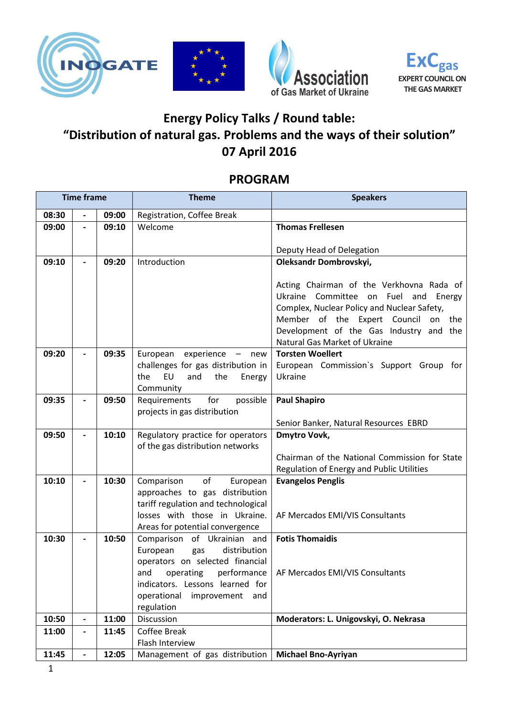







## **Energy Policy Talks / Round table: "Distribution of natural gas. Problems and the ways of their solution" 07 April 2016**

## **PROGRAM**

| <b>Time frame</b> |                          |       | <b>Theme</b>                                                          | <b>Speakers</b>                                                                           |
|-------------------|--------------------------|-------|-----------------------------------------------------------------------|-------------------------------------------------------------------------------------------|
| 08:30             | $\overline{\phantom{a}}$ | 09:00 | Registration, Coffee Break                                            |                                                                                           |
| 09:00             | $\overline{a}$           | 09:10 | Welcome                                                               | <b>Thomas Frellesen</b>                                                                   |
|                   |                          |       |                                                                       |                                                                                           |
|                   |                          |       |                                                                       | Deputy Head of Delegation                                                                 |
| 09:10             | $\overline{a}$           | 09:20 | Introduction                                                          | Oleksandr Dombrovskyi,                                                                    |
|                   |                          |       |                                                                       |                                                                                           |
|                   |                          |       |                                                                       | Acting Chairman of the Verkhovna Rada of<br>Ukraine Committee on<br>Fuel<br>and<br>Energy |
|                   |                          |       |                                                                       | Complex, Nuclear Policy and Nuclear Safety,                                               |
|                   |                          |       |                                                                       | Member of the Expert Council on the                                                       |
|                   |                          |       |                                                                       | Development of the Gas Industry and the                                                   |
|                   |                          |       |                                                                       | Natural Gas Market of Ukraine                                                             |
| 09:20             |                          | 09:35 | experience - new<br>European                                          | <b>Torsten Woellert</b>                                                                   |
|                   |                          |       | challenges for gas distribution in                                    | European Commission's Support Group for                                                   |
|                   |                          |       | <b>EU</b><br>and<br>the<br>the<br>Energy                              | Ukraine                                                                                   |
| 09:35             |                          | 09:50 | Community<br>for<br>possible                                          |                                                                                           |
|                   | $\overline{\phantom{0}}$ |       | Requirements<br>projects in gas distribution                          | <b>Paul Shapiro</b>                                                                       |
|                   |                          |       |                                                                       | Senior Banker, Natural Resources EBRD                                                     |
| 09:50             |                          | 10:10 | Regulatory practice for operators                                     | <b>Dmytro Vovk,</b>                                                                       |
|                   |                          |       | of the gas distribution networks                                      |                                                                                           |
|                   |                          |       |                                                                       | Chairman of the National Commission for State                                             |
|                   |                          |       |                                                                       | Regulation of Energy and Public Utilities                                                 |
| 10:10             | $\overline{\phantom{0}}$ | 10:30 | of<br>Comparison<br>European                                          | <b>Evangelos Penglis</b>                                                                  |
|                   |                          |       | approaches to gas distribution<br>tariff regulation and technological |                                                                                           |
|                   |                          |       | losses with those in Ukraine.                                         | AF Mercados EMI/VIS Consultants                                                           |
|                   |                          |       | Areas for potential convergence                                       |                                                                                           |
| 10:30             |                          | 10:50 | Comparison of Ukrainian and                                           | <b>Fotis Thomaidis</b>                                                                    |
|                   |                          |       | distribution<br>European<br>gas                                       |                                                                                           |
|                   |                          |       | operators on selected financial                                       |                                                                                           |
|                   |                          |       |                                                                       | and operating performance   AF Mercados EMI/VIS Consultants                               |
|                   |                          |       | indicators. Lessons learned for                                       |                                                                                           |
|                   |                          |       | operational<br>improvement and                                        |                                                                                           |
| 10:50             | $\blacksquare$           | 11:00 | regulation<br>Discussion                                              | Moderators: L. Unigovskyi, O. Nekrasa                                                     |
| 11:00             | $\blacksquare$           | 11:45 | Coffee Break                                                          |                                                                                           |
|                   |                          |       | Flash Interview                                                       |                                                                                           |
| 11:45             | $\blacksquare$           | 12:05 | Management of gas distribution                                        | <b>Michael Bno-Ayriyan</b>                                                                |
|                   |                          |       |                                                                       |                                                                                           |